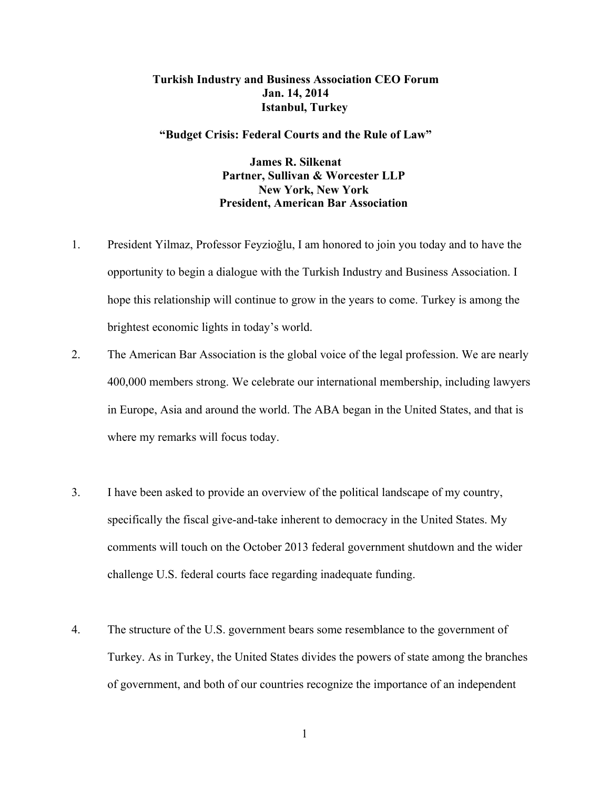## **Turkish Industry and Business Association CEO Forum Jan. 14, 2014 Istanbul, Turkey**

## **"Budget Crisis: Federal Courts and the Rule of Law"**

**James R. Silkenat Partner, Sullivan & Worcester LLP New York, New York President, American Bar Association**

- 1. President Yilmaz, Professor Feyzioğlu, I am honored to join you today and to have the opportunity to begin a dialogue with the Turkish Industry and Business Association. I hope this relationship will continue to grow in the years to come. Turkey is among the brightest economic lights in today's world.
- 2. The American Bar Association is the global voice of the legal profession. We are nearly 400,000 members strong. We celebrate our international membership, including lawyers in Europe, Asia and around the world. The ABA began in the United States, and that is where my remarks will focus today.
- 3. I have been asked to provide an overview of the political landscape of my country, specifically the fiscal give-and-take inherent to democracy in the United States. My comments will touch on the October 2013 federal government shutdown and the wider challenge U.S. federal courts face regarding inadequate funding.
- 4. The structure of the U.S. government bears some resemblance to the government of Turkey. As in Turkey, the United States divides the powers of state among the branches of government, and both of our countries recognize the importance of an independent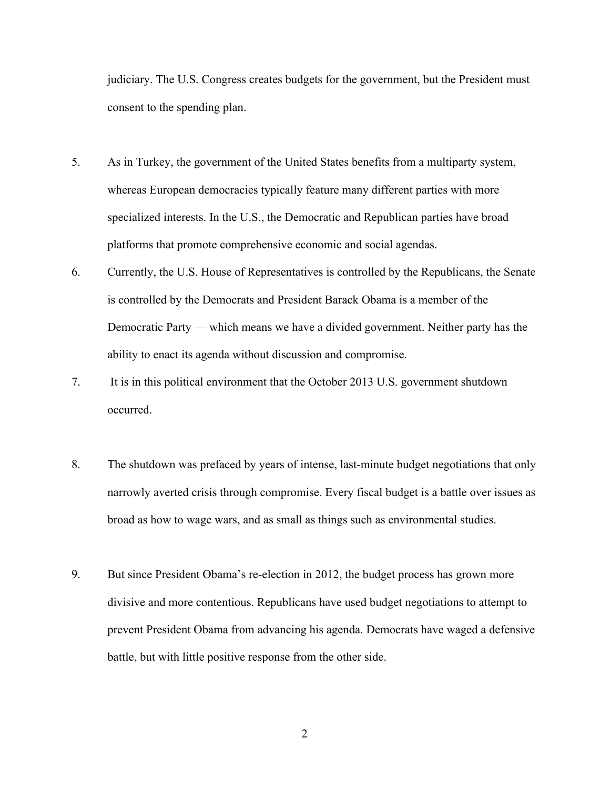judiciary. The U.S. Congress creates budgets for the government, but the President must consent to the spending plan.

- 5. As in Turkey, the government of the United States benefits from a multiparty system, whereas European democracies typically feature many different parties with more specialized interests. In the U.S., the Democratic and Republican parties have broad platforms that promote comprehensive economic and social agendas.
- 6. Currently, the U.S. House of Representatives is controlled by the Republicans, the Senate is controlled by the Democrats and President Barack Obama is a member of the Democratic Party — which means we have a divided government. Neither party has the ability to enact its agenda without discussion and compromise.
- 7. It is in this political environment that the October 2013 U.S. government shutdown occurred.
- 8. The shutdown was prefaced by years of intense, last-minute budget negotiations that only narrowly averted crisis through compromise. Every fiscal budget is a battle over issues as broad as how to wage wars, and as small as things such as environmental studies.
- 9. But since President Obama's re-election in 2012, the budget process has grown more divisive and more contentious. Republicans have used budget negotiations to attempt to prevent President Obama from advancing his agenda. Democrats have waged a defensive battle, but with little positive response from the other side.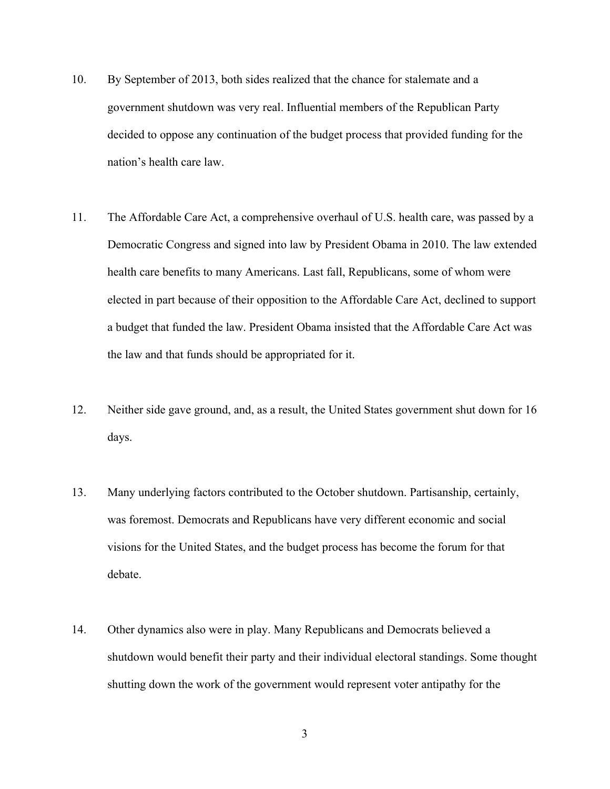- 10. By September of 2013, both sides realized that the chance for stalemate and a government shutdown was very real. Influential members of the Republican Party decided to oppose any continuation of the budget process that provided funding for the nation's health care law.
- 11. The Affordable Care Act, a comprehensive overhaul of U.S. health care, was passed by a Democratic Congress and signed into law by President Obama in 2010. The law extended health care benefits to many Americans. Last fall, Republicans, some of whom were elected in part because of their opposition to the Affordable Care Act, declined to support a budget that funded the law. President Obama insisted that the Affordable Care Act was the law and that funds should be appropriated for it.
- 12. Neither side gave ground, and, as a result, the United States government shut down for 16 days.
- 13. Many underlying factors contributed to the October shutdown. Partisanship, certainly, was foremost. Democrats and Republicans have very different economic and social visions for the United States, and the budget process has become the forum for that debate.
- 14. Other dynamics also were in play. Many Republicans and Democrats believed a shutdown would benefit their party and their individual electoral standings. Some thought shutting down the work of the government would represent voter antipathy for the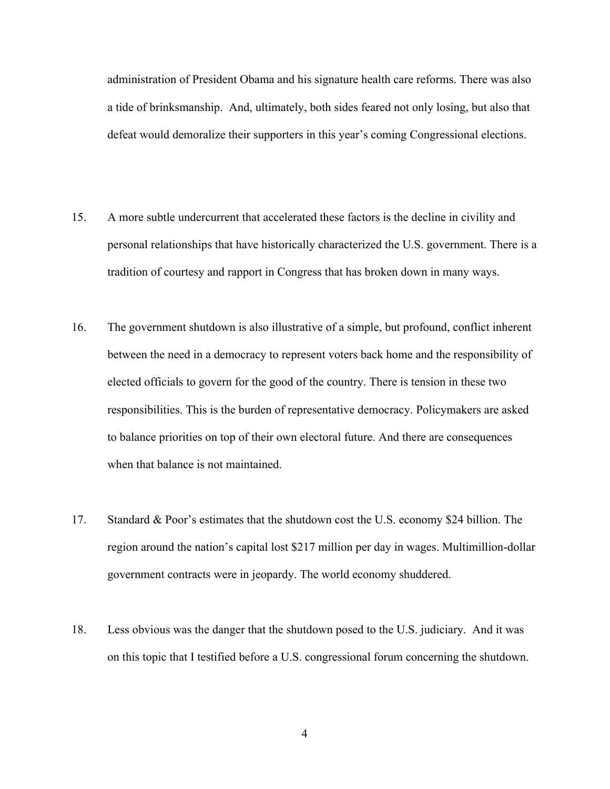administration of President Obama and his signature health care reforms. There was also a tide of brinksmanship. And, ultimately, both sides feared not only losing, but also that defeat would demoralize their supporters in this year's coming Congressional elections.

- 15. A more subtle undercurrent that accelerated these factors is the decline in civility and personal relationships that have historically characterized the U.S. government. There is a tradition of courtesy and rapport in Congress that has broken down in many ways.
- 16. The government shutdown is also illustrative of a simple, but profound, conflict inherent between the need in a democracy to represent voters back home and the responsibility of elected officials to govern for the good of the country. There is tension in these two responsibilities. This is the burden of representative democracy. Policymakers are asked to balance priorities on top of their own electoral future. And there are consequences when that balance is not maintained.
- 17. Standard & Poor's estimates that the shutdown cost the U.S. economy \$24 billion. The region around the nation's capital lost \$217 million per day in wages. Multimillion-dollar government contracts were in jeopardy. The world economy shuddered.
- 18. Less obvious was the danger that the shutdown posed to the U.S. judiciary. And it was on this topic that I testified before a U.S. congressional forum concerning the shutdown.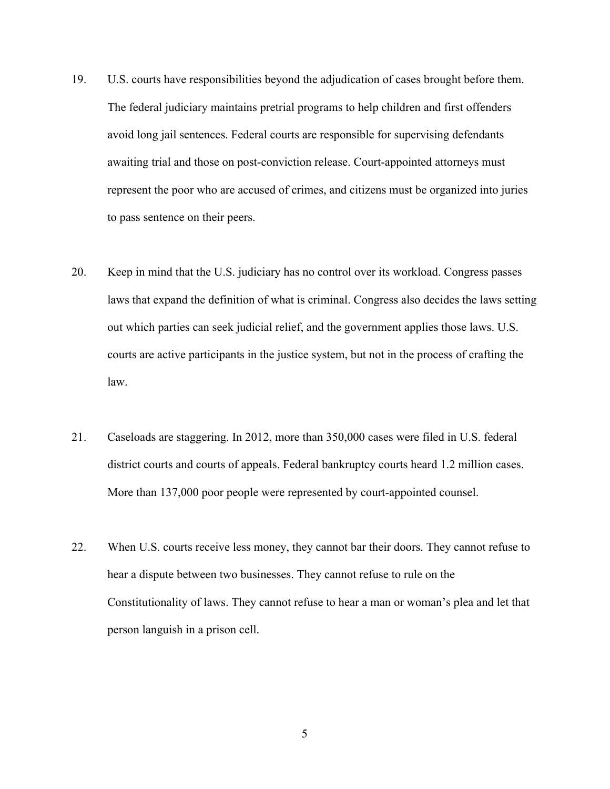- 19. U.S. courts have responsibilities beyond the adjudication of cases brought before them. The federal judiciary maintains pretrial programs to help children and first offenders avoid long jail sentences. Federal courts are responsible for supervising defendants awaiting trial and those on post-conviction release. Court-appointed attorneys must represent the poor who are accused of crimes, and citizens must be organized into juries to pass sentence on their peers.
- 20. Keep in mind that the U.S. judiciary has no control over its workload. Congress passes laws that expand the definition of what is criminal. Congress also decides the laws setting out which parties can seek judicial relief, and the government applies those laws. U.S. courts are active participants in the justice system, but not in the process of crafting the law.
- 21. Caseloads are staggering. In 2012, more than 350,000 cases were filed in U.S. federal district courts and courts of appeals. Federal bankruptcy courts heard 1.2 million cases. More than 137,000 poor people were represented by court-appointed counsel.
- 22. When U.S. courts receive less money, they cannot bar their doors. They cannot refuse to hear a dispute between two businesses. They cannot refuse to rule on the Constitutionality of laws. They cannot refuse to hear a man or woman's plea and let that person languish in a prison cell.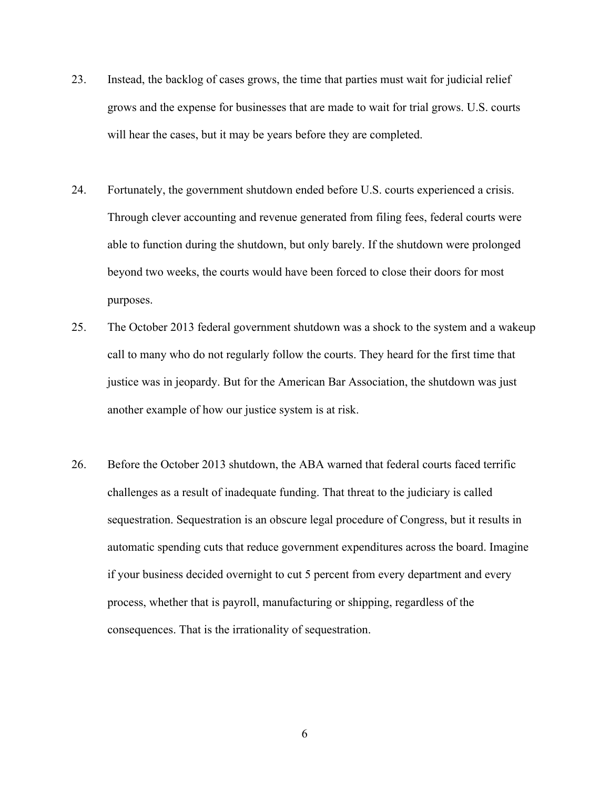- 23. Instead, the backlog of cases grows, the time that parties must wait for judicial relief grows and the expense for businesses that are made to wait for trial grows. U.S. courts will hear the cases, but it may be years before they are completed.
- 24. Fortunately, the government shutdown ended before U.S. courts experienced a crisis. Through clever accounting and revenue generated from filing fees, federal courts were able to function during the shutdown, but only barely. If the shutdown were prolonged beyond two weeks, the courts would have been forced to close their doors for most purposes.
- 25. The October 2013 federal government shutdown was a shock to the system and a wakeup call to many who do not regularly follow the courts. They heard for the first time that justice was in jeopardy. But for the American Bar Association, the shutdown was just another example of how our justice system is at risk.
- 26. Before the October 2013 shutdown, the ABA warned that federal courts faced terrific challenges as a result of inadequate funding. That threat to the judiciary is called sequestration. Sequestration is an obscure legal procedure of Congress, but it results in automatic spending cuts that reduce government expenditures across the board. Imagine if your business decided overnight to cut 5 percent from every department and every process, whether that is payroll, manufacturing or shipping, regardless of the consequences. That is the irrationality of sequestration.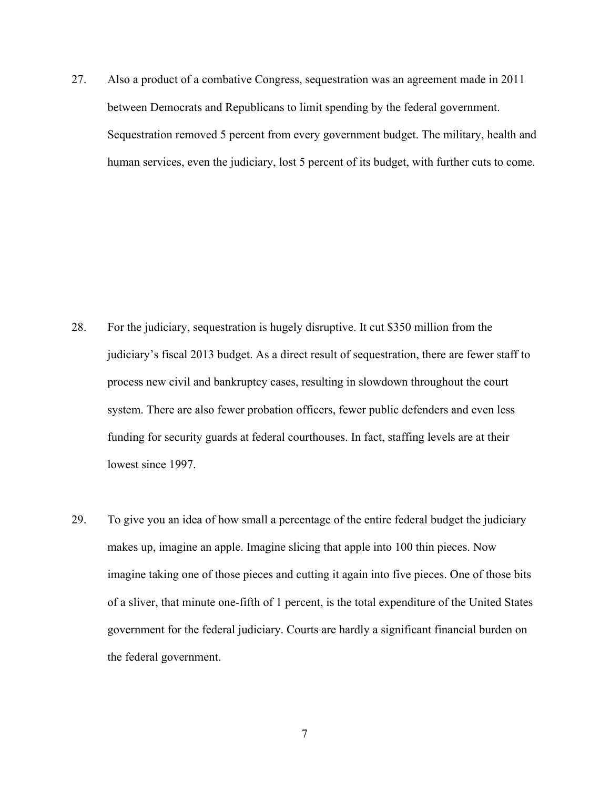27. Also a product of a combative Congress, sequestration was an agreement made in 2011 between Democrats and Republicans to limit spending by the federal government. Sequestration removed 5 percent from every government budget. The military, health and human services, even the judiciary, lost 5 percent of its budget, with further cuts to come.

- 28. For the judiciary, sequestration is hugely disruptive. It cut \$350 million from the judiciary's fiscal 2013 budget. As a direct result of sequestration, there are fewer staff to process new civil and bankruptcy cases, resulting in slowdown throughout the court system. There are also fewer probation officers, fewer public defenders and even less funding for security guards at federal courthouses. In fact, staffing levels are at their lowest since 1997.
- 29. To give you an idea of how small a percentage of the entire federal budget the judiciary makes up, imagine an apple. Imagine slicing that apple into 100 thin pieces. Now imagine taking one of those pieces and cutting it again into five pieces. One of those bits of a sliver, that minute one-fifth of 1 percent, is the total expenditure of the United States government for the federal judiciary. Courts are hardly a significant financial burden on the federal government.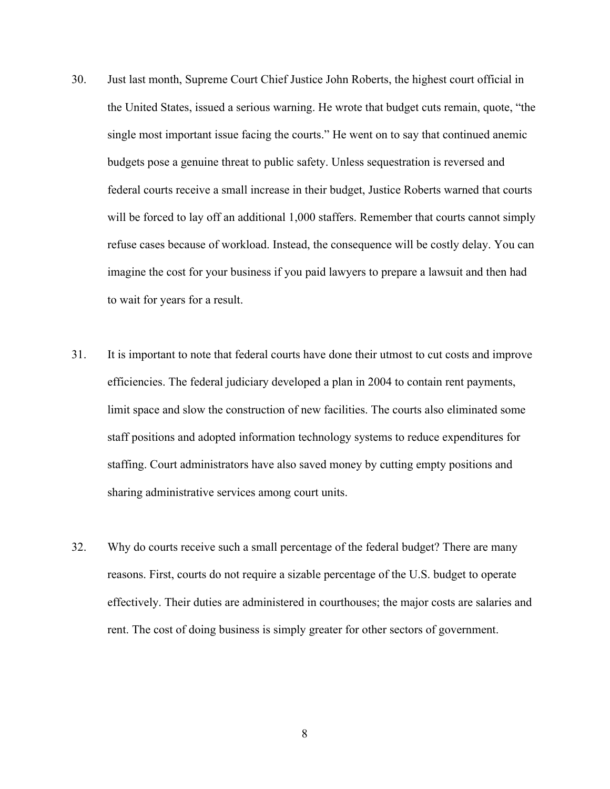- 30. Just last month, Supreme Court Chief Justice John Roberts, the highest court official in the United States, issued a serious warning. He wrote that budget cuts remain, quote, "the single most important issue facing the courts." He went on to say that continued anemic budgets pose a genuine threat to public safety. Unless sequestration is reversed and federal courts receive a small increase in their budget, Justice Roberts warned that courts will be forced to lay off an additional 1,000 staffers. Remember that courts cannot simply refuse cases because of workload. Instead, the consequence will be costly delay. You can imagine the cost for your business if you paid lawyers to prepare a lawsuit and then had to wait for years for a result.
- 31. It is important to note that federal courts have done their utmost to cut costs and improve efficiencies. The federal judiciary developed a plan in 2004 to contain rent payments, limit space and slow the construction of new facilities. The courts also eliminated some staff positions and adopted information technology systems to reduce expenditures for staffing. Court administrators have also saved money by cutting empty positions and sharing administrative services among court units.
- 32. Why do courts receive such a small percentage of the federal budget? There are many reasons. First, courts do not require a sizable percentage of the U.S. budget to operate effectively. Their duties are administered in courthouses; the major costs are salaries and rent. The cost of doing business is simply greater for other sectors of government.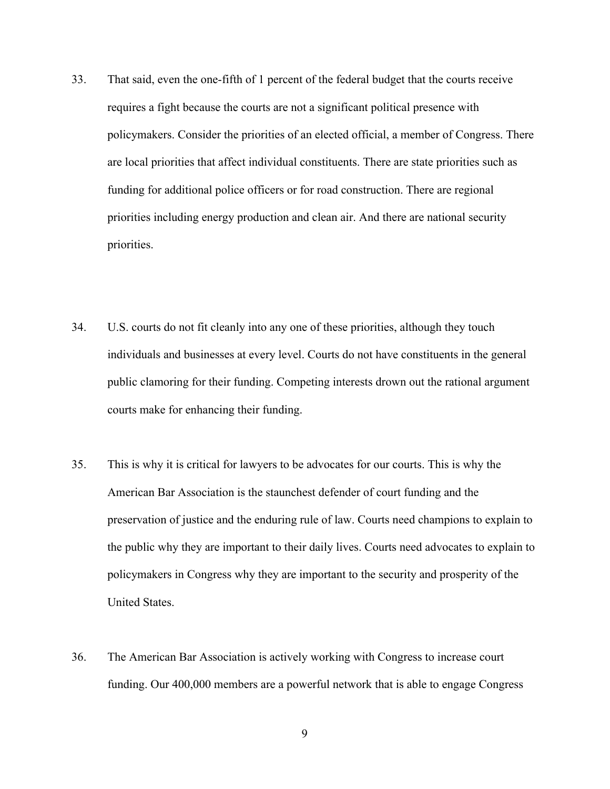- 33. That said, even the one-fifth of 1 percent of the federal budget that the courts receive requires a fight because the courts are not a significant political presence with policymakers. Consider the priorities of an elected official, a member of Congress. There are local priorities that affect individual constituents. There are state priorities such as funding for additional police officers or for road construction. There are regional priorities including energy production and clean air. And there are national security priorities.
- 34. U.S. courts do not fit cleanly into any one of these priorities, although they touch individuals and businesses at every level. Courts do not have constituents in the general public clamoring for their funding. Competing interests drown out the rational argument courts make for enhancing their funding.
- 35. This is why it is critical for lawyers to be advocates for our courts. This is why the American Bar Association is the staunchest defender of court funding and the preservation of justice and the enduring rule of law. Courts need champions to explain to the public why they are important to their daily lives. Courts need advocates to explain to policymakers in Congress why they are important to the security and prosperity of the United States.
- 36. The American Bar Association is actively working with Congress to increase court funding. Our 400,000 members are a powerful network that is able to engage Congress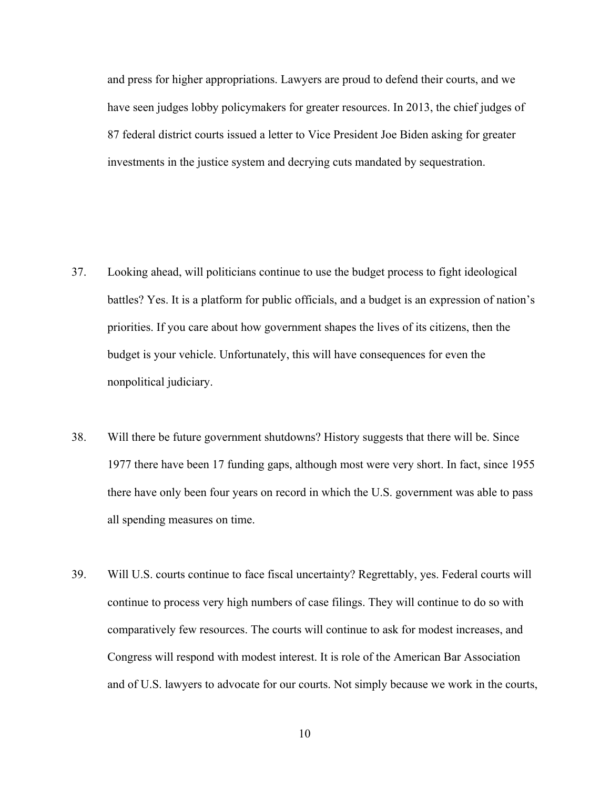and press for higher appropriations. Lawyers are proud to defend their courts, and we have seen judges lobby policymakers for greater resources. In 2013, the chief judges of 87 federal district courts issued a letter to Vice President Joe Biden asking for greater investments in the justice system and decrying cuts mandated by sequestration.

- 37. Looking ahead, will politicians continue to use the budget process to fight ideological battles? Yes. It is a platform for public officials, and a budget is an expression of nation's priorities. If you care about how government shapes the lives of its citizens, then the budget is your vehicle. Unfortunately, this will have consequences for even the nonpolitical judiciary.
- 38. Will there be future government shutdowns? History suggests that there will be. Since 1977 there have been 17 funding gaps, although most were very short. In fact, since 1955 there have only been four years on record in which the U.S. government was able to pass all spending measures on time.
- 39. Will U.S. courts continue to face fiscal uncertainty? Regrettably, yes. Federal courts will continue to process very high numbers of case filings. They will continue to do so with comparatively few resources. The courts will continue to ask for modest increases, and Congress will respond with modest interest. It is role of the American Bar Association and of U.S. lawyers to advocate for our courts. Not simply because we work in the courts,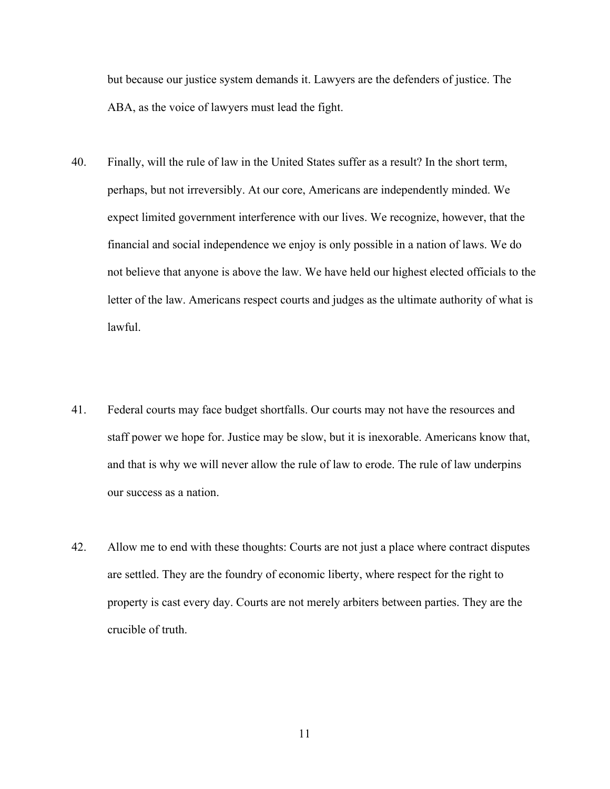but because our justice system demands it. Lawyers are the defenders of justice. The ABA, as the voice of lawyers must lead the fight.

- 40. Finally, will the rule of law in the United States suffer as a result? In the short term, perhaps, but not irreversibly. At our core, Americans are independently minded. We expect limited government interference with our lives. We recognize, however, that the financial and social independence we enjoy is only possible in a nation of laws. We do not believe that anyone is above the law. We have held our highest elected officials to the letter of the law. Americans respect courts and judges as the ultimate authority of what is lawful.
- 41. Federal courts may face budget shortfalls. Our courts may not have the resources and staff power we hope for. Justice may be slow, but it is inexorable. Americans know that, and that is why we will never allow the rule of law to erode. The rule of law underpins our success as a nation.
- 42. Allow me to end with these thoughts: Courts are not just a place where contract disputes are settled. They are the foundry of economic liberty, where respect for the right to property is cast every day. Courts are not merely arbiters between parties. They are the crucible of truth.